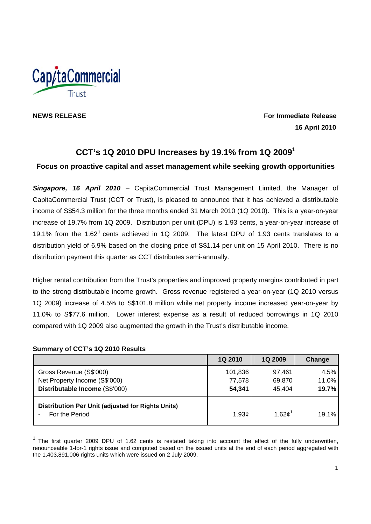

**NEWS RELEASE** For Immediate Release **For Immediate Release 16 April 2010** 

# **CCT's 1Q 2010 DPU Increases by 19.1% from 1Q 20091**

# **Focus on proactive capital and asset management while seeking growth opportunities**

*Singapore, 16 April 2010* – CapitaCommercial Trust Management Limited, the Manager of CapitaCommercial Trust (CCT or Trust), is pleased to announce that it has achieved a distributable income of S\$54.3 million for the three months ended 31 March 2010 (1Q 2010). This is a year-on-year increase of 19.7% from 1Q 2009. Distribution per unit (DPU) is 1.93 cents, a year-on-year increase of 19.1% from the 1.62<sup>1</sup> cents achieved in 1Q 2009. The latest DPU of 1.93 cents translates to a distribution yield of 6.9% based on the closing price of S\$1.14 per unit on 15 April 2010. There is no distribution payment this quarter as CCT distributes semi-annually.

Higher rental contribution from the Trust's properties and improved property margins contributed in part to the strong distributable income growth. Gross revenue registered a year-on-year (1Q 2010 versus 1Q 2009) increase of 4.5% to S\$101.8 million while net property income increased year-on-year by 11.0% to S\$77.6 million. Lower interest expense as a result of reduced borrowings in 1Q 2010 compared with 1Q 2009 also augmented the growth in the Trust's distributable income.

## **Summary of CCT's 1Q 2010 Results**

|                                                                     | 1Q 2010 | 1Q 2009           | Change |
|---------------------------------------------------------------------|---------|-------------------|--------|
| Gross Revenue (S\$'000)                                             | 101,836 | 97,461            | 4.5%   |
| Net Property Income (S\$'000)                                       | 77,578  | 69,870            | 11.0%  |
| Distributable Income (S\$'000)                                      | 54,341  | 45,404            | 19.7%  |
| Distribution Per Unit (adjusted for Rights Units)<br>For the Period | 1.93c   | 1.62 <sup>1</sup> | 19.1%  |

 $1$  The first quarter 2009 DPU of 1.62 cents is restated taking into account the effect of the fully underwritten, renounceable 1-for-1 rights issue and computed based on the issued units at the end of each period aggregated with the 1,403,891,006 rights units which were issued on 2 July 2009.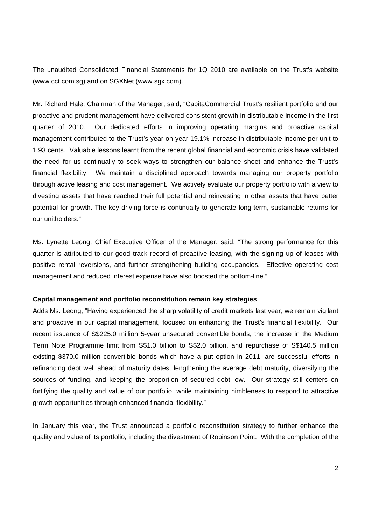The unaudited Consolidated Financial Statements for 1Q 2010 are available on the Trust's website (www.cct.com.sg) and on SGXNet (www.sgx.com).

Mr. Richard Hale, Chairman of the Manager, said, "CapitaCommercial Trust's resilient portfolio and our proactive and prudent management have delivered consistent growth in distributable income in the first quarter of 2010. Our dedicated efforts in improving operating margins and proactive capital management contributed to the Trust's year-on-year 19.1% increase in distributable income per unit to 1.93 cents. Valuable lessons learnt from the recent global financial and economic crisis have validated the need for us continually to seek ways to strengthen our balance sheet and enhance the Trust's financial flexibility. We maintain a disciplined approach towards managing our property portfolio through active leasing and cost management. We actively evaluate our property portfolio with a view to divesting assets that have reached their full potential and reinvesting in other assets that have better potential for growth. The key driving force is continually to generate long-term, sustainable returns for our unitholders."

Ms. Lynette Leong, Chief Executive Officer of the Manager, said, "The strong performance for this quarter is attributed to our good track record of proactive leasing, with the signing up of leases with positive rental reversions, and further strengthening building occupancies. Effective operating cost management and reduced interest expense have also boosted the bottom-line."

## **Capital management and portfolio reconstitution remain key strategies**

Adds Ms. Leong, "Having experienced the sharp volatility of credit markets last year, we remain vigilant and proactive in our capital management, focused on enhancing the Trust's financial flexibility. Our recent issuance of S\$225.0 million 5-year unsecured convertible bonds, the increase in the Medium Term Note Programme limit from S\$1.0 billion to S\$2.0 billion, and repurchase of S\$140.5 million existing \$370.0 million convertible bonds which have a put option in 2011, are successful efforts in refinancing debt well ahead of maturity dates, lengthening the average debt maturity, diversifying the sources of funding, and keeping the proportion of secured debt low. Our strategy still centers on fortifying the quality and value of our portfolio, while maintaining nimbleness to respond to attractive growth opportunities through enhanced financial flexibility."

In January this year, the Trust announced a portfolio reconstitution strategy to further enhance the quality and value of its portfolio, including the divestment of Robinson Point. With the completion of the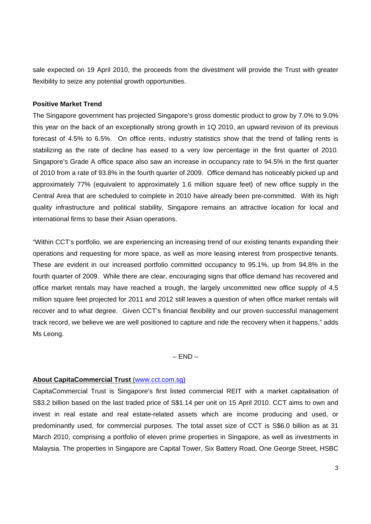sale expected on 19 April 2010, the proceeds from the divestment will provide the Trust with greater flexibility to seize any potential growth opportunities.

## **Positive Market Trend**

The Singapore government has projected Singapore's gross domestic product to grow by 7.0% to 9.0% this year on the back of an exceptionally strong growth in 1Q 2010, an upward revision of its previous forecast of 4.5% to 6.5%. On office rents, industry statistics show that the trend of falling rents is stabilizing as the rate of decline has eased to a very low percentage in the first quarter of 2010. Singapore's Grade A office space also saw an increase in occupancy rate to 94.5% in the first quarter of 2010 from a rate of 93.8% in the fourth quarter of 2009. Office demand has noticeably picked up and approximately 77% (equivalent to approximately 1.6 million square feet) of new office supply in the Central Area that are scheduled to complete in 2010 have already been pre-committed. With its high quality infrastructure and political stability, Singapore remains an attractive location for local and international firms to base their Asian operations.

"Within CCT's portfolio, we are experiencing an increasing trend of our existing tenants expanding their operations and requesting for more space, as well as more leasing interest from prospective tenants. These are evident in our increased portfolio committed occupancy to 95.1%, up from 94.8% in the fourth quarter of 2009. While there are clear, encouraging signs that office demand has recovered and office market rentals may have reached a trough, the largely uncommitted new office supply of 4.5 million square feet projected for 2011 and 2012 still leaves a question of when office market rentals will recover and to what degree. Given CCT's financial flexibility and our proven successful management track record, we believe we are well positioned to capture and ride the recovery when it happens," adds Ms Leong.

 $-$  END $-$ 

## **About CapitaCommercial Trust** (www.cct.com.sg)

CapitaCommercial Trust is Singapore's first listed commercial REIT with a market capitalisation of S\$3.2 billion based on the last traded price of S\$1.14 per unit on 15 April 2010. CCT aims to own and invest in real estate and real estate-related assets which are income producing and used, or predominantly used, for commercial purposes. The total asset size of CCT is S\$6.0 billion as at 31 March 2010, comprising a portfolio of eleven prime properties in Singapore, as well as investments in Malaysia. The properties in Singapore are Capital Tower, Six Battery Road, One George Street, HSBC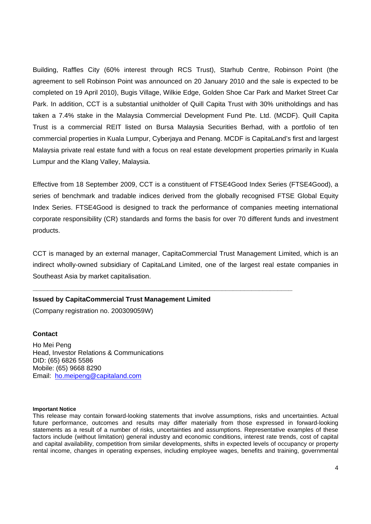Building, Raffles City (60% interest through RCS Trust), Starhub Centre, Robinson Point (the agreement to sell Robinson Point was announced on 20 January 2010 and the sale is expected to be completed on 19 April 2010), Bugis Village, Wilkie Edge, Golden Shoe Car Park and Market Street Car Park. In addition, CCT is a substantial unitholder of Quill Capita Trust with 30% unitholdings and has taken a 7.4% stake in the Malaysia Commercial Development Fund Pte. Ltd. (MCDF). Quill Capita Trust is a commercial REIT listed on Bursa Malaysia Securities Berhad, with a portfolio of ten commercial properties in Kuala Lumpur, Cyberjaya and Penang. MCDF is CapitaLand's first and largest Malaysia private real estate fund with a focus on real estate development properties primarily in Kuala Lumpur and the Klang Valley, Malaysia.

Effective from 18 September 2009, CCT is a constituent of FTSE4Good Index Series (FTSE4Good), a series of benchmark and tradable indices derived from the globally recognised FTSE Global Equity Index Series. FTSE4Good is designed to track the performance of companies meeting international corporate responsibility (CR) standards and forms the basis for over 70 different funds and investment products.

CCT is managed by an external manager, CapitaCommercial Trust Management Limited, which is an indirect wholly-owned subsidiary of CapitaLand Limited, one of the largest real estate companies in Southeast Asia by market capitalisation.

**\_\_\_\_\_\_\_\_\_\_\_\_\_\_\_\_\_\_\_\_\_\_\_\_\_\_\_\_\_\_\_\_\_\_\_\_\_\_\_\_\_\_\_\_\_\_\_\_\_\_\_\_\_\_\_\_\_\_\_\_\_\_\_\_\_\_\_\_\_\_** 

## **Issued by CapitaCommercial Trust Management Limited**

(Company registration no. 200309059W)

#### **Contact**

Ho Mei Peng Head, Investor Relations & Communications DID: (65) 6826 5586 Mobile: (65) 9668 8290 Email: ho.meipeng@capitaland.com

#### **Important Notice**

This release may contain forward-looking statements that involve assumptions, risks and uncertainties. Actual future performance, outcomes and results may differ materially from those expressed in forward-looking statements as a result of a number of risks, uncertainties and assumptions. Representative examples of these factors include (without limitation) general industry and economic conditions, interest rate trends, cost of capital and capital availability, competition from similar developments, shifts in expected levels of occupancy or property rental income, changes in operating expenses, including employee wages, benefits and training, governmental